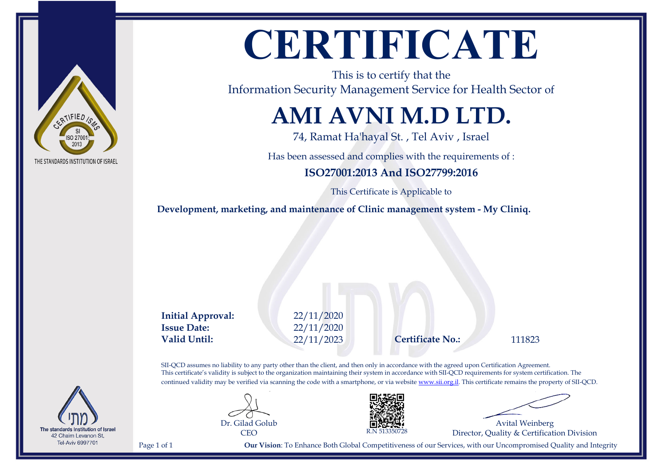

## **CERTIFICATE**

This is to certify that the Information Security Management Service for Health Sector of

## **AMI AVNI M.D LTD.**

74, Ramat Ha'hayal St. , Tel Aviv , Israel

Has been assessed and complies with the requirements of :

#### **ISO27001:2013 And ISO27799:2016**

This Certificate is Applicable to

**Development, marketing, and maintenance of Clinic management system - My Cliniq.**

**Initial Approval:** 22/11/2020 **Issue Date:** 22/11/2020 **Valid Until:** 22/11/2023 **Certificate No.:** 111823

SII-QCD assumes no liability to any party other than the client, and then only in accordance with the agreed upon Certification Agreement. This certificate's validity is subject to the organization maintaining their system in accordance with SII-QCD requirements for system certification. The continued validity may be verified via scanning the code with a smartphone, or via website [www.sii.org.il.](http://www.sii.org.il) This certificate remains the property of SII-QCD.



Dr. Gilad Golub



Page 1 of 1 **Our Vision**: To Enhance Both Global Competitiveness of our Services, with our Uncompromised Quality and Integrity

Avital Weinberg Director, Quality & Certification Division